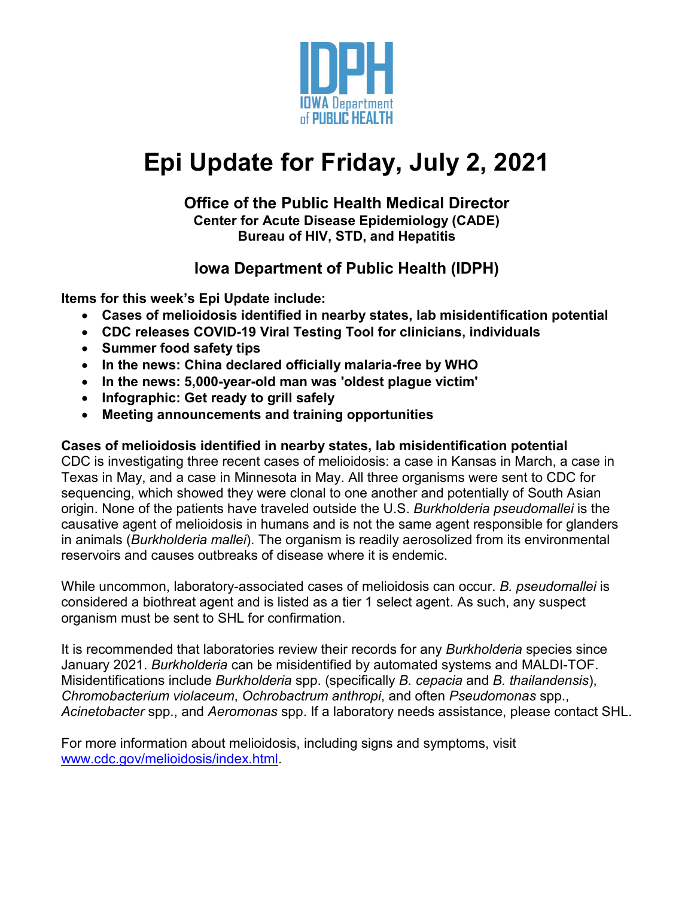

# **Epi Update for Friday, July 2, 2021**

#### **Office of the Public Health Medical Director Center for Acute Disease Epidemiology (CADE) Bureau of HIV, STD, and Hepatitis**

# **Iowa Department of Public Health (IDPH)**

**Items for this week's Epi Update include:**

- **Cases of melioidosis identified in nearby states, lab misidentification potential**
- **CDC releases COVID-19 Viral Testing Tool for clinicians, individuals**
- **Summer food safety tips**
- **In the news: China declared officially malaria-free by WHO**
- **In the news: 5,000-year-old man was 'oldest plague victim'**
- **Infographic: Get ready to grill safely**
- **Meeting announcements and training opportunities**

#### **Cases of melioidosis identified in nearby states, lab misidentification potential**

CDC is investigating three recent cases of melioidosis: a case in Kansas in March, a case in Texas in May, and a case in Minnesota in May. All three organisms were sent to CDC for sequencing, which showed they were clonal to one another and potentially of South Asian origin. None of the patients have traveled outside the U.S. *Burkholderia pseudomallei* is the causative agent of melioidosis in humans and is not the same agent responsible for glanders in animals (*Burkholderia mallei*). The organism is readily aerosolized from its environmental reservoirs and causes outbreaks of disease where it is endemic.

While uncommon, laboratory-associated cases of melioidosis can occur. *B. pseudomallei* is considered a biothreat agent and is listed as a tier 1 select agent. As such, any suspect organism must be sent to SHL for confirmation.

It is recommended that laboratories review their records for any *Burkholderia* species since January 2021. *Burkholderia* can be misidentified by automated systems and MALDI-TOF. Misidentifications include *Burkholderia* spp. (specifically *B. cepacia* and *B. thailandensis*), *Chromobacterium violaceum*, *Ochrobactrum anthropi*, and often *Pseudomonas* spp., *Acinetobacter* spp., and *Aeromonas* spp. If a laboratory needs assistance, please contact SHL.

For more information about melioidosis, including signs and symptoms, visit [www.cdc.gov/melioidosis/index.html.](http://www.cdc.gov/melioidosis/index.html)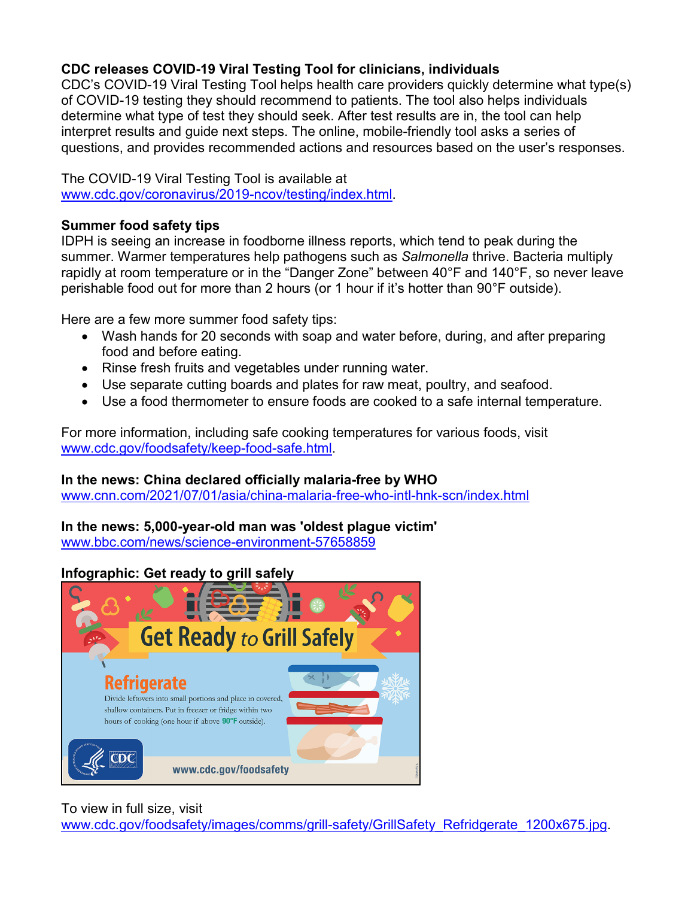## **CDC releases COVID-19 Viral Testing Tool for clinicians, individuals**

CDC's COVID-19 Viral Testing Tool helps health care providers quickly determine what type(s) of COVID-19 testing they should recommend to patients. The tool also helps individuals determine what type of test they should seek. After test results are in, the tool can help interpret results and guide next steps. The online, mobile-friendly tool asks a series of questions, and provides recommended actions and resources based on the user's responses.

## The COVID-19 Viral Testing Tool is available at

[www.cdc.gov/coronavirus/2019-ncov/testing/index.html.](http://www.cdc.gov/coronavirus/2019-ncov/testing/index.html)

#### **Summer food safety tips**

IDPH is seeing an increase in foodborne illness reports, which tend to peak during the summer. Warmer temperatures help pathogens such as *Salmonella* thrive. Bacteria multiply rapidly at room temperature or in the "Danger Zone" between 40°F and 140°F, so never leave perishable food out for more than 2 hours (or 1 hour if it's hotter than 90°F outside).

Here are a few more summer food safety tips:

- Wash hands for 20 seconds with soap and water before, during, and after preparing food and before eating.
- Rinse fresh fruits and vegetables under running water.
- Use separate cutting boards and plates for raw meat, poultry, and seafood.
- Use a food thermometer to ensure foods are cooked to a safe internal temperature.

For more information, including safe cooking temperatures for various foods, visit [www.cdc.gov/foodsafety/keep-food-safe.html.](http://www.cdc.gov/foodsafety/keep-food-safe.html)

#### **In the news: China declared officially malaria-free by WHO**

[www.cnn.com/2021/07/01/asia/china-malaria-free-who-intl-hnk-scn/index.html](http://www.cnn.com/2021/07/01/asia/china-malaria-free-who-intl-hnk-scn/index.html)

# **In the news: 5,000-year-old man was 'oldest plague victim'**

[www.bbc.com/news/science-environment-57658859](http://www.bbc.com/news/science-environment-57658859)

## **Infographic: [Get ready to grill safely](https://www.cdc.gov/foodsafety/images/comms/grill-safety/GrillSafety_Refridgerate_1200x675.jpg)**



#### To view in full size, visit

[www.cdc.gov/foodsafety/images/comms/grill-safety/GrillSafety\\_Refridgerate\\_1200x675.jpg.](http://www.cdc.gov/foodsafety/images/comms/grill-safety/GrillSafety_Refridgerate_1200x675.jpg)